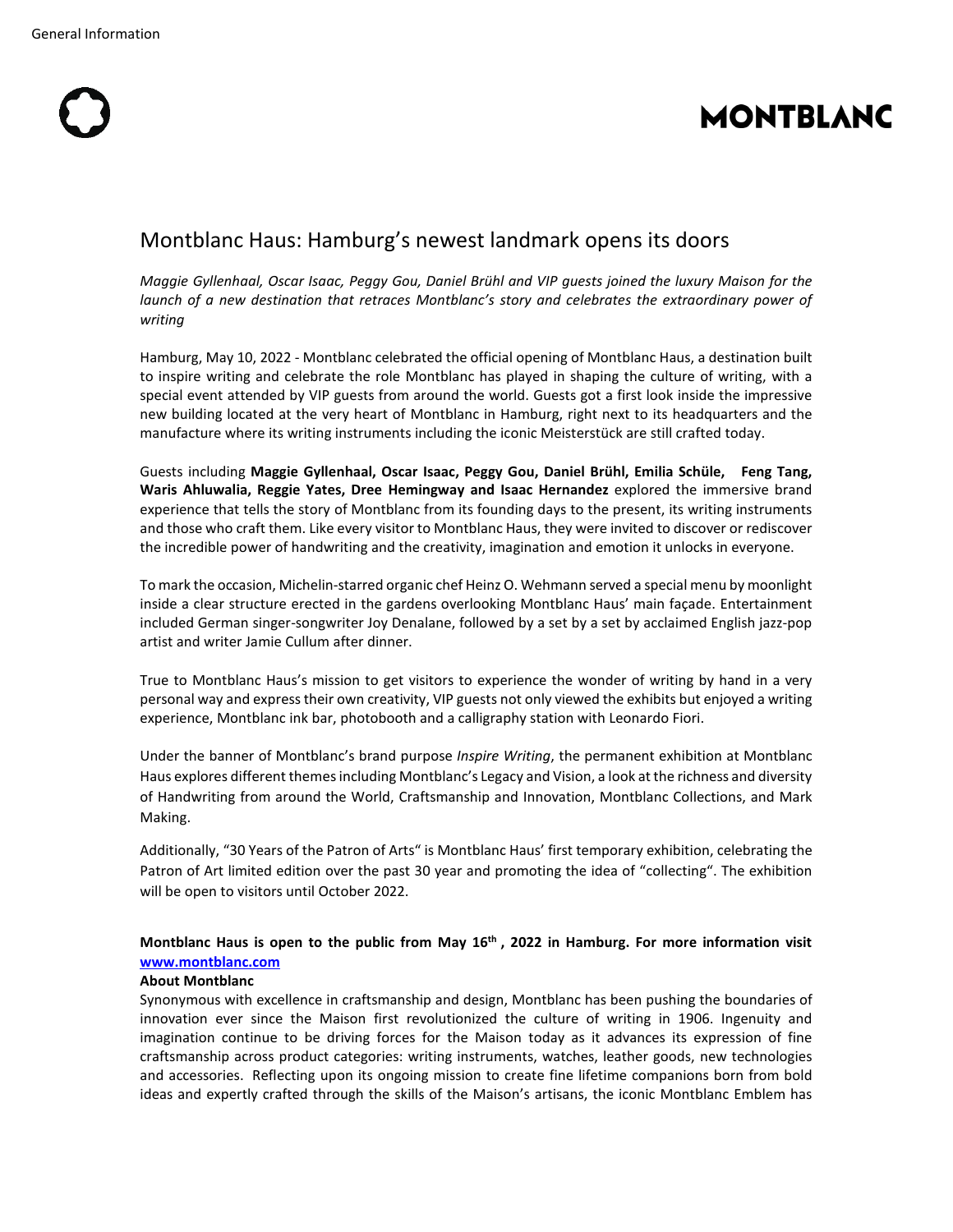# **MONTBLANC**

## Montblanc Haus: Hamburg's newest landmark opens its doors

*Maggie Gyllenhaal, Oscar Isaac, Peggy Gou, Daniel Brühl and VIP guests joined the luxury Maison for the launch of a new destination that retraces Montblanc's story and celebrates the extraordinary power of writing*

Hamburg, May 10, 2022 - Montblanc celebrated the official opening of Montblanc Haus, a destination built to inspire writing and celebrate the role Montblanc has played in shaping the culture of writing, with a special event attended by VIP guests from around the world. Guests got a first look inside the impressive new building located at the very heart of Montblanc in Hamburg, right next to its headquarters and the manufacture where its writing instruments including the iconic Meisterstück are still crafted today.

Guests including **Maggie Gyllenhaal, Oscar Isaac, Peggy Gou, Daniel Brühl, Emilia Schüle, Feng Tang, Waris Ahluwalia, Reggie Yates, Dree Hemingway and Isaac Hernandez** explored the immersive brand experience that tells the story of Montblanc from its founding days to the present, its writing instruments and those who craft them. Like every visitor to Montblanc Haus, they were invited to discover or rediscover the incredible power of handwriting and the creativity, imagination and emotion it unlocks in everyone.

To mark the occasion, Michelin-starred organic chef Heinz O. Wehmann served a special menu by moonlight inside a clear structure erected in the gardens overlooking Montblanc Haus' main façade. Entertainment included German singer-songwriter Joy Denalane, followed by a set by a set by acclaimed English jazz-pop artist and writer Jamie Cullum after dinner.

True to Montblanc Haus's mission to get visitors to experience the wonder of writing by hand in a very personal way and express their own creativity, VIP guests not only viewed the exhibits but enjoyed a writing experience, Montblanc ink bar, photobooth and a calligraphy station with Leonardo Fiori.

Under the banner of Montblanc's brand purpose *Inspire Writing*, the permanent exhibition at Montblanc Haus explores different themes including Montblanc's Legacy and Vision, a look at the richness and diversity of Handwriting from around the World, Craftsmanship and Innovation, Montblanc Collections, and Mark Making.

Additionally, "30 Years of the Patron of Arts" is Montblanc Haus' first temporary exhibition, celebrating the Patron of Art limited edition over the past 30 year and promoting the idea of "collecting". The exhibition will be open to visitors until October 2022.

### **Montblanc Haus is open to the public from May 16th , 2022 in Hamburg. For more information visit [www.montblanc.com](http://www.montblanc.com/)**

#### **About Montblanc**

Synonymous with excellence in craftsmanship and design, Montblanc has been pushing the boundaries of innovation ever since the Maison first revolutionized the culture of writing in 1906. Ingenuity and imagination continue to be driving forces for the Maison today as it advances its expression of fine craftsmanship across product categories: writing instruments, watches, leather goods, new technologies and accessories. Reflecting upon its ongoing mission to create fine lifetime companions born from bold ideas and expertly crafted through the skills of the Maison's artisans, the iconic Montblanc Emblem has